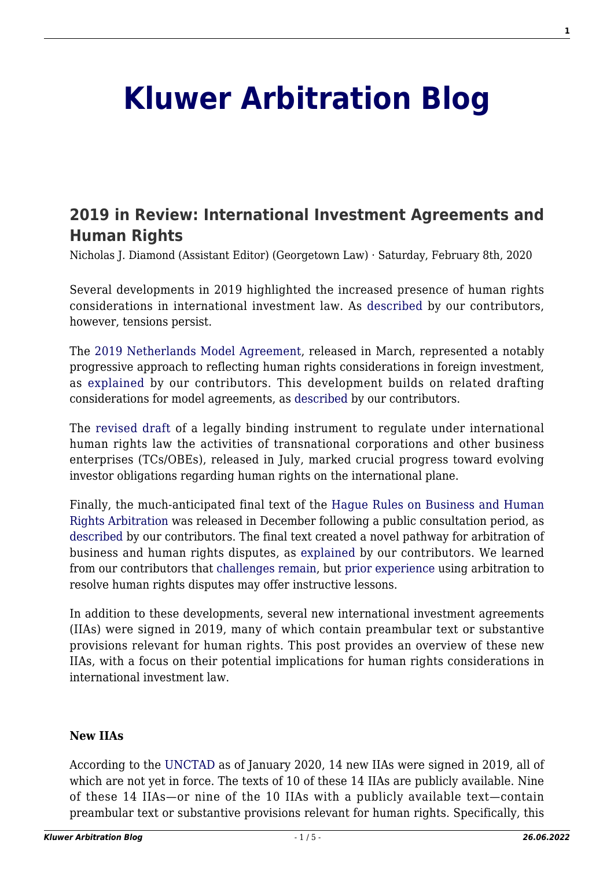# **[Kluwer Arbitration Blog](http://arbitrationblog.kluwerarbitration.com/)**

# **[2019 in Review: International Investment Agreements and](http://arbitrationblog.kluwerarbitration.com/2020/02/08/2019-in-review-international-investment-agreements-and-human-rights/) [Human Rights](http://arbitrationblog.kluwerarbitration.com/2020/02/08/2019-in-review-international-investment-agreements-and-human-rights/)**

Nicholas J. Diamond (Assistant Editor) (Georgetown Law) · Saturday, February 8th, 2020

Several developments in 2019 highlighted the increased presence of human rights considerations in international investment law. As [described](http://arbitrationblog.kluwerarbitration.com/2019/12/11/the-collisions-of-law-and-of-fora-focus-on-international-dispute-resolution-at-the-98th-annual-international-law-weekend/) by our contributors, however, tensions persist.

The [2019 Netherlands Model Agreement](https://investmentpolicy.unctad.org/international-investment-agreements/treaty-files/5832/download), released in March, represented a notably progressive approach to reflecting human rights considerations in foreign investment, as [explained](http://arbitrationblog.kluwerarbitration.com/2019/06/15/with-rights-come-responsibilities-sustainable-development-and-gender-empowerment-under-the-2019-netherlands-model-bit/) by our contributors. This development builds on related drafting considerations for model agreements, as [described](http://arbitrationblog.kluwerarbitration.com/2019/07/23/recent-clauses-pertaining-to-environmental-labor-and-human-rights-in-investment-agreements-laudable-success-or-disappointing-failure/) by our contributors.

The [revised draft](https://www.ohchr.org/Documents/HRBodies/HRCouncil/WGTransCorp/OEIGWG_RevisedDraft_LBI.pdf) of a legally binding instrument to regulate under international human rights law the activities of transnational corporations and other business enterprises (TCs/OBEs), released in July, marked crucial progress toward evolving investor obligations regarding human rights on the international plane.

Finally, the much-anticipated final text of the [Hague Rules on Business and Human](https://www.cilc.nl/cms/wp-content/uploads/2019/12/The-Hague-Rules-on-Business-and-Human-Rights-Arbitration_CILC-digital-version.pdf) [Rights Arbitration](https://www.cilc.nl/cms/wp-content/uploads/2019/12/The-Hague-Rules-on-Business-and-Human-Rights-Arbitration_CILC-digital-version.pdf) was released in December following a public consultation period, as [described](http://arbitrationblog.kluwerarbitration.com/2019/06/27/arbitrating-business-and-human-rights-disputes-public-consultation-on-the-draft-hague-rules-on-business-and-human-rights-arbitration/) by our contributors. The final text created a novel pathway for arbitration of business and human rights disputes, as [explained](http://arbitrationblog.kluwerarbitration.com/2019/12/26/roll-out-the-red-carpet-the-hague-rules-on-business-and-human-rights-arbitration-are-finally-here/) by our contributors. We learned from our contributors that [challenges remain,](http://arbitrationblog.kluwerarbitration.com/2019/09/13/a-further-step-towards-business-and-human-rights-arbitration-the-hague-rules/) but [prior experience](http://arbitrationblog.kluwerarbitration.com/2019/07/14/energy-disputes-in-a-disruptive-world-a-take-on-business-and-human-rights-arbitration/) using arbitration to resolve human rights disputes may offer instructive lessons.

In addition to these developments, several new international investment agreements (IIAs) were signed in 2019, many of which contain preambular text or substantive provisions relevant for human rights. This post provides an overview of these new IIAs, with a focus on their potential implications for human rights considerations in international investment law.

#### **New IIAs**

According to the [UNCTAD](https://investmentpolicy.unctad.org/international-investment-agreements) as of January 2020, 14 new IIAs were signed in 2019, all of which are not yet in force. The texts of 10 of these 14 IIAs are publicly available. Nine of these 14 IIAs—or nine of the 10 IIAs with a publicly available text—contain preambular text or substantive provisions relevant for human rights. Specifically, this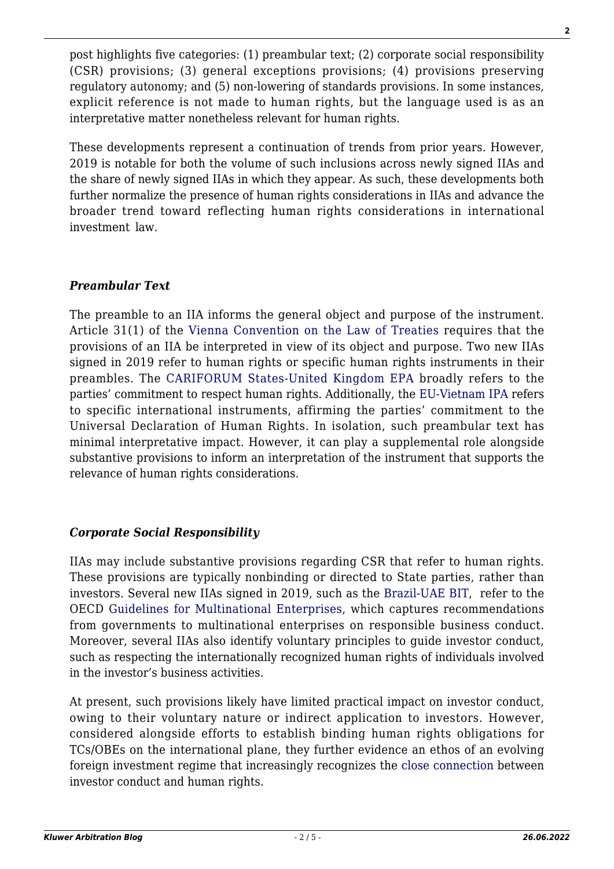post highlights five categories: (1) preambular text; (2) corporate social responsibility (CSR) provisions; (3) general exceptions provisions; (4) provisions preserving regulatory autonomy; and (5) non-lowering of standards provisions. In some instances, explicit reference is not made to human rights, but the language used is as an interpretative matter nonetheless relevant for human rights.

These developments represent a continuation of trends from prior years. However, 2019 is notable for both the volume of such inclusions across newly signed IIAs and the share of newly signed IIAs in which they appear. As such, these developments both further normalize the presence of human rights considerations in IIAs and advance the broader trend toward reflecting human rights considerations in international investment law.

## *Preambular Text*

The preamble to an IIA informs the general object and purpose of the instrument. Article 31(1) of the [Vienna Convention on the Law of Treaties](https://treaties.un.org/doc/publication/unts/volume%201155/volume-1155-i-18232-english.pdf) requires that the provisions of an IIA be interpreted in view of its object and purpose. Two new IIAs signed in 2019 refer to human rights or specific human rights instruments in their preambles. The [CARIFORUM States-United Kingdom EPA](https://investmentpolicy.unctad.org/international-investment-agreements/treaty-files/5822/download) broadly refers to the parties' commitment to respect human rights. Additionally, the [EU-Vietnam IPA](https://investmentpolicy.unctad.org/international-investment-agreements/treaty-files/5868/download) refers to specific international instruments, affirming the parties' commitment to the Universal Declaration of Human Rights. In isolation, such preambular text has minimal interpretative impact. However, it can play a supplemental role alongside substantive provisions to inform an interpretation of the instrument that supports the relevance of human rights considerations.

## *Corporate Social Responsibility*

IIAs may include substantive provisions regarding CSR that refer to human rights. These provisions are typically nonbinding or directed to State parties, rather than investors. Several new IIAs signed in 2019, such as the [Brazil-UAE BIT,](https://investmentpolicy.unctad.org/international-investment-agreements/treaty-files/5855/download) refer to the OECD [Guidelines for Multinational Enterprises,](http://www.oecd.org/daf/inv/mne/48004323.pdf) which captures recommendations from governments to multinational enterprises on responsible business conduct. Moreover, several IIAs also identify voluntary principles to guide investor conduct, such as respecting the internationally recognized human rights of individuals involved in the investor's business activities.

At present, such provisions likely have limited practical impact on investor conduct, owing to their voluntary nature or indirect application to investors. However, considered alongside efforts to establish binding human rights obligations for TCs/OBEs on the international plane, they further evidence an ethos of an evolving foreign investment regime that increasingly recognizes the [close connection](https://www.italaw.com/sites/default/files/case-documents/italaw8136_1.pdf) between investor conduct and human rights.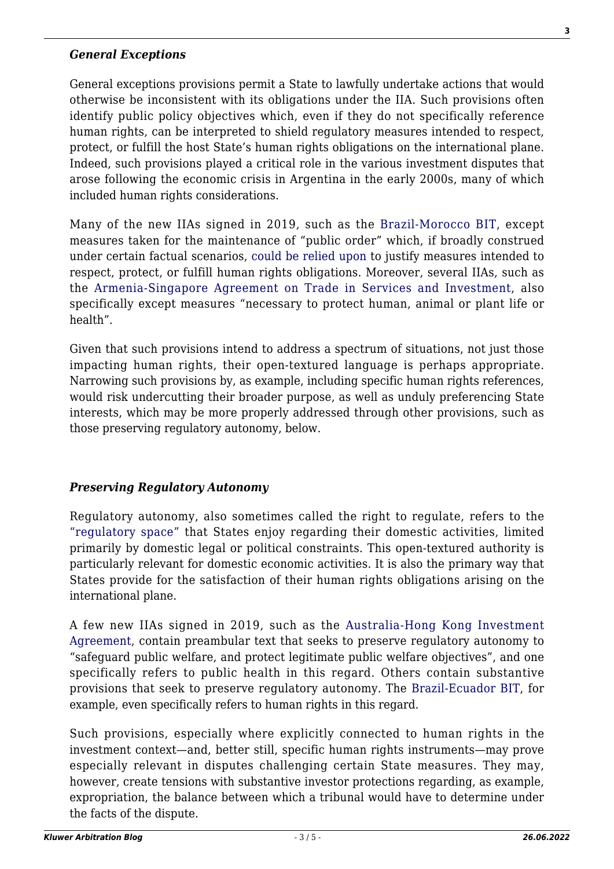#### *General Exceptions*

General exceptions provisions permit a State to lawfully undertake actions that would otherwise be inconsistent with its obligations under the IIA. Such provisions often identify public policy objectives which, even if they do not specifically reference human rights, can be interpreted to shield regulatory measures intended to respect, protect, or fulfill the host State's human rights obligations on the international plane. Indeed, such provisions played a critical role in the various investment disputes that arose following the economic crisis in Argentina in the early 2000s, many of which included human rights considerations.

Many of the new IIAs signed in 2019, such as the [Brazil-Morocco BIT,](https://investmentpolicy.unctad.org/international-investment-agreements/treaty-files/5889/download) except measures taken for the maintenance of "public order" which, if broadly construed under certain factual scenarios, [could be relied upon](https://heinonline.org/HOL/LandingPage?handle=hein.journals/cjtl49&div=28&id=&page=) to justify measures intended to respect, protect, or fulfill human rights obligations. Moreover, several IIAs, such as the [Armenia-Singapore Agreement on Trade in Services and Investment,](https://investmentpolicy.unctad.org/international-investment-agreements/treaty-files/5886/download) also specifically except measures "necessary to protect human, animal or plant life or health".

Given that such provisions intend to address a spectrum of situations, not just those impacting human rights, their open-textured language is perhaps appropriate. Narrowing such provisions by, as example, including specific human rights references, would risk undercutting their broader purpose, as well as unduly preferencing State interests, which may be more properly addressed through other provisions, such as those preserving regulatory autonomy, below.

#### *Preserving Regulatory Autonomy*

Regulatory autonomy, also sometimes called the right to regulate, refers to the ["regulatory space"](https://scholarship.law.upenn.edu/cgi/viewcontent.cgi?article=1884&context=jil) that States enjoy regarding their domestic activities, limited primarily by domestic legal or political constraints. This open-textured authority is particularly relevant for domestic economic activities. It is also the primary way that States provide for the satisfaction of their human rights obligations arising on the international plane.

A few new IIAs signed in 2019, such as the [Australia-Hong Kong Investment](https://investmentpolicy.unctad.org/international-investment-agreements/treaty-files/5830/download) [Agreement](https://investmentpolicy.unctad.org/international-investment-agreements/treaty-files/5830/download), contain preambular text that seeks to preserve regulatory autonomy to "safeguard public welfare, and protect legitimate public welfare objectives", and one specifically refers to public health in this regard. Others contain substantive provisions that seek to preserve regulatory autonomy. The [Brazil-Ecuador BIT](https://investmentpolicy.unctad.org/international-investment-agreements/treaty-files/5887/download), for example, even specifically refers to human rights in this regard.

Such provisions, especially where explicitly connected to human rights in the investment context—and, better still, specific human rights instruments—may prove especially relevant in disputes challenging certain State measures. They may, however, create tensions with substantive investor protections regarding, as example, expropriation, the balance between which a tribunal would have to determine under the facts of the dispute.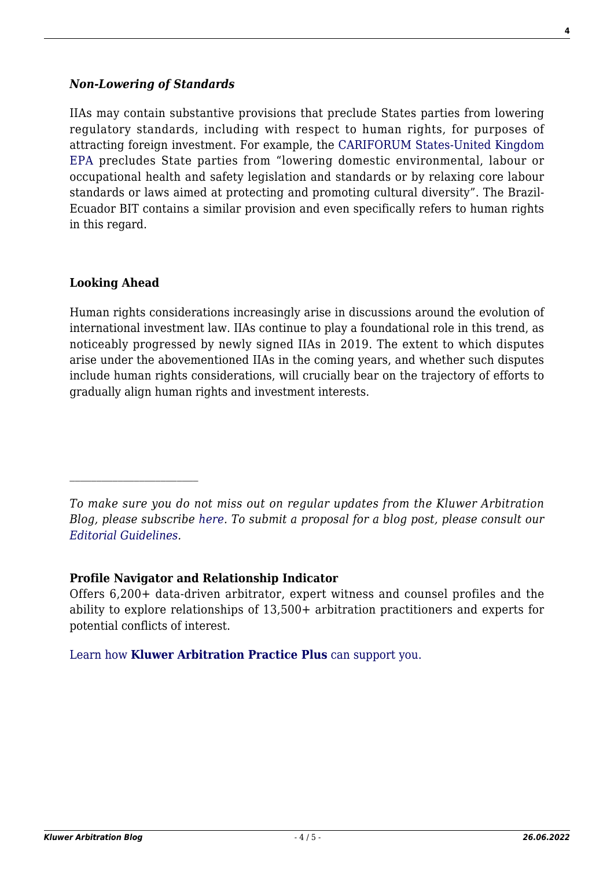#### *Non-Lowering of Standards*

IIAs may contain substantive provisions that preclude States parties from lowering regulatory standards, including with respect to human rights, for purposes of attracting foreign investment. For example, the [CARIFORUM States-United Kingdom](https://investmentpolicy.unctad.org/international-investment-agreements/treaty-files/5822/download) [EPA](https://investmentpolicy.unctad.org/international-investment-agreements/treaty-files/5822/download) precludes State parties from "lowering domestic environmental, labour or occupational health and safety legislation and standards or by relaxing core labour standards or laws aimed at protecting and promoting cultural diversity". The Brazil-Ecuador BIT contains a similar provision and even specifically refers to human rights in this regard.

#### **Looking Ahead**

 $\mathcal{L}_\text{max}$ 

Human rights considerations increasingly arise in discussions around the evolution of international investment law. IIAs continue to play a foundational role in this trend, as noticeably progressed by newly signed IIAs in 2019. The extent to which disputes arise under the abovementioned IIAs in the coming years, and whether such disputes include human rights considerations, will crucially bear on the trajectory of efforts to gradually align human rights and investment interests.

*To make sure you do not miss out on regular updates from the Kluwer Arbitration Blog, please subscribe [here](http://arbitrationblog.kluwerarbitration.com/newsletter/). To submit a proposal for a blog post, please consult our [Editorial Guidelines.](http://arbitrationblog.kluwerarbitration.com/editorial-guidelines/)*

#### **Profile Navigator and Relationship Indicator**

Offers 6,200+ data-driven arbitrator, expert witness and counsel profiles and the ability to explore relationships of 13,500+ arbitration practitioners and experts for potential conflicts of interest.

[Learn how](https://www.wolterskluwer.com/en/solutions/kluwerarbitration/practiceplus?utm_source=arbitrationblog&utm_medium=articleCTA&utm_campaign=article-banner) **[Kluwer Arbitration Practice Plus](https://www.wolterskluwer.com/en/solutions/kluwerarbitration/practiceplus?utm_source=arbitrationblog&utm_medium=articleCTA&utm_campaign=article-banner)** [can support you.](https://www.wolterskluwer.com/en/solutions/kluwerarbitration/practiceplus?utm_source=arbitrationblog&utm_medium=articleCTA&utm_campaign=article-banner)